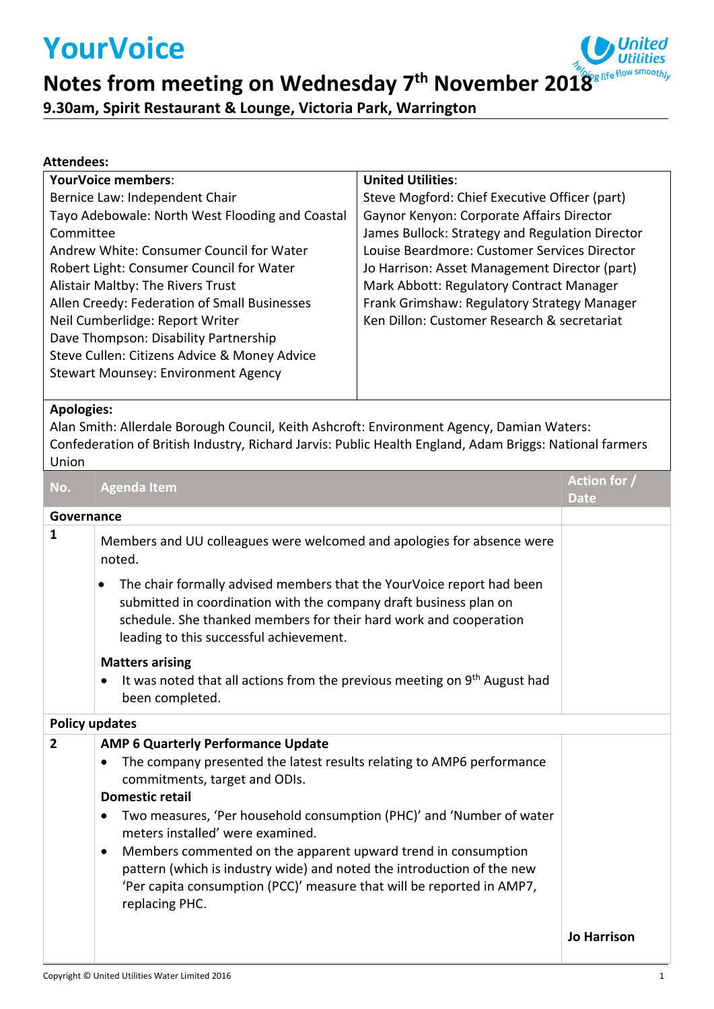# **YourVoice**



**Notes from meeting on Wednesday 7 th November 2018**

**9.30am, Spirit Restaurant & Lounge, Victoria Park, Warrington**

### **Attendees:**

| <b>YourVoice members:</b>                       | <b>United Utilities:</b>                        |
|-------------------------------------------------|-------------------------------------------------|
| Bernice Law: Independent Chair                  | Steve Mogford: Chief Executive Officer (part)   |
| Tayo Adebowale: North West Flooding and Coastal | Gaynor Kenyon: Corporate Affairs Director       |
| Committee                                       | James Bullock: Strategy and Regulation Director |
| Andrew White: Consumer Council for Water        | Louise Beardmore: Customer Services Director    |
| Robert Light: Consumer Council for Water        | Jo Harrison: Asset Management Director (part)   |
| Alistair Maltby: The Rivers Trust               | Mark Abbott: Regulatory Contract Manager        |
| Allen Creedy: Federation of Small Businesses    | Frank Grimshaw: Regulatory Strategy Manager     |
| Neil Cumberlidge: Report Writer                 | Ken Dillon: Customer Research & secretariat     |
| Dave Thompson: Disability Partnership           |                                                 |
| Steve Cullen: Citizens Advice & Money Advice    |                                                 |
| <b>Stewart Mounsey: Environment Agency</b>      |                                                 |
|                                                 |                                                 |

#### **Apologies:**

Alan Smith: Allerdale Borough Council, Keith Ashcroft: Environment Agency, Damian Waters: Confederation of British Industry, Richard Jarvis: Public Health England, Adam Briggs: National farmers Union

| No.                   | <b>Agenda Item</b>                                                                                                                                                                                                                                                                                                                                                                                                                                                                                                                                | Action for /<br><b>Date</b> |  |
|-----------------------|---------------------------------------------------------------------------------------------------------------------------------------------------------------------------------------------------------------------------------------------------------------------------------------------------------------------------------------------------------------------------------------------------------------------------------------------------------------------------------------------------------------------------------------------------|-----------------------------|--|
| Governance            |                                                                                                                                                                                                                                                                                                                                                                                                                                                                                                                                                   |                             |  |
| 1                     | Members and UU colleagues were welcomed and apologies for absence were<br>noted.                                                                                                                                                                                                                                                                                                                                                                                                                                                                  |                             |  |
|                       | The chair formally advised members that the YourVoice report had been<br>submitted in coordination with the company draft business plan on<br>schedule. She thanked members for their hard work and cooperation<br>leading to this successful achievement.                                                                                                                                                                                                                                                                                        |                             |  |
|                       | <b>Matters arising</b>                                                                                                                                                                                                                                                                                                                                                                                                                                                                                                                            |                             |  |
|                       | It was noted that all actions from the previous meeting on 9 <sup>th</sup> August had<br>٠<br>been completed.                                                                                                                                                                                                                                                                                                                                                                                                                                     |                             |  |
| <b>Policy updates</b> |                                                                                                                                                                                                                                                                                                                                                                                                                                                                                                                                                   |                             |  |
| $\overline{2}$        | <b>AMP 6 Quarterly Performance Update</b><br>The company presented the latest results relating to AMP6 performance<br>٠<br>commitments, target and ODIs.<br><b>Domestic retail</b><br>Two measures, 'Per household consumption (PHC)' and 'Number of water<br>meters installed' were examined.<br>Members commented on the apparent upward trend in consumption<br>$\bullet$<br>pattern (which is industry wide) and noted the introduction of the new<br>'Per capita consumption (PCC)' measure that will be reported in AMP7,<br>replacing PHC. |                             |  |
|                       |                                                                                                                                                                                                                                                                                                                                                                                                                                                                                                                                                   | <b>Jo Harrison</b>          |  |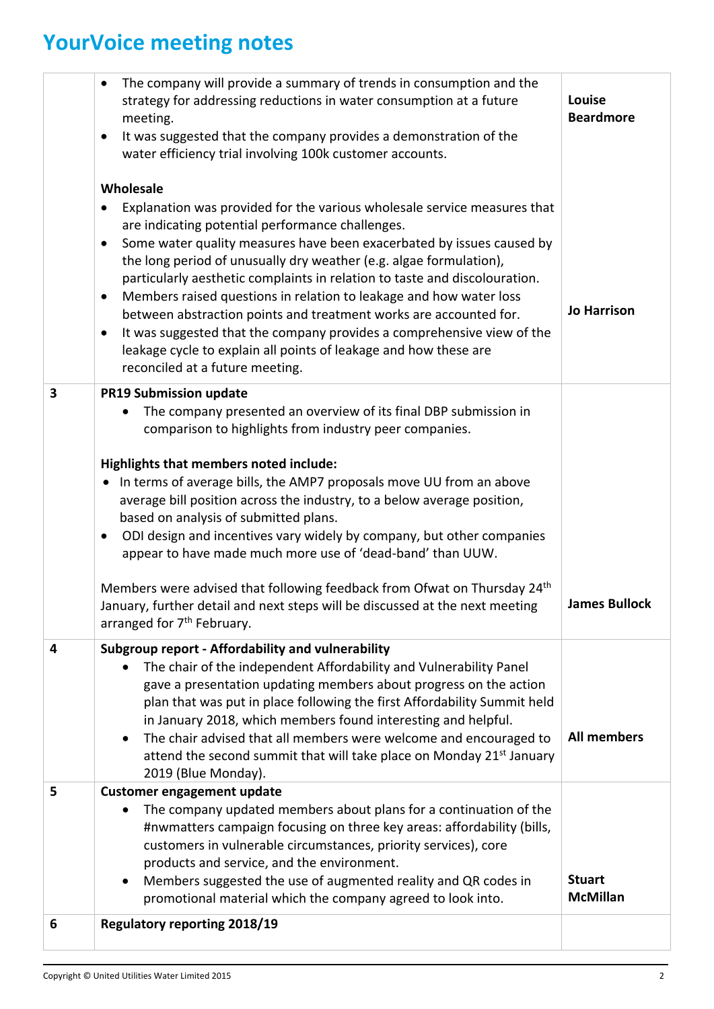## **YourVoice meeting notes**

|                         | The company will provide a summary of trends in consumption and the<br>$\bullet$<br>strategy for addressing reductions in water consumption at a future<br>meeting.<br>It was suggested that the company provides a demonstration of the<br>٠<br>water efficiency trial involving 100k customer accounts.<br>Wholesale<br>Explanation was provided for the various wholesale service measures that<br>are indicating potential performance challenges.<br>Some water quality measures have been exacerbated by issues caused by<br>the long period of unusually dry weather (e.g. algae formulation),<br>particularly aesthetic complaints in relation to taste and discolouration.                                                                                 | Louise<br><b>Beardmore</b>       |
|-------------------------|---------------------------------------------------------------------------------------------------------------------------------------------------------------------------------------------------------------------------------------------------------------------------------------------------------------------------------------------------------------------------------------------------------------------------------------------------------------------------------------------------------------------------------------------------------------------------------------------------------------------------------------------------------------------------------------------------------------------------------------------------------------------|----------------------------------|
|                         | Members raised questions in relation to leakage and how water loss<br>٠<br>between abstraction points and treatment works are accounted for.<br>It was suggested that the company provides a comprehensive view of the<br>$\bullet$<br>leakage cycle to explain all points of leakage and how these are<br>reconciled at a future meeting.                                                                                                                                                                                                                                                                                                                                                                                                                          | <b>Jo Harrison</b>               |
| $\overline{\mathbf{3}}$ | <b>PR19 Submission update</b><br>The company presented an overview of its final DBP submission in<br>٠<br>comparison to highlights from industry peer companies.<br>Highlights that members noted include:<br>In terms of average bills, the AMP7 proposals move UU from an above<br>average bill position across the industry, to a below average position,<br>based on analysis of submitted plans.<br>ODI design and incentives vary widely by company, but other companies<br>٠<br>appear to have made much more use of 'dead-band' than UUW.<br>Members were advised that following feedback from Ofwat on Thursday 24 <sup>th</sup><br>January, further detail and next steps will be discussed at the next meeting<br>arranged for 7 <sup>th</sup> February. | <b>James Bullock</b>             |
| 4                       | Subgroup report - Affordability and vulnerability<br>The chair of the independent Affordability and Vulnerability Panel<br>gave a presentation updating members about progress on the action<br>plan that was put in place following the first Affordability Summit held<br>in January 2018, which members found interesting and helpful.<br>The chair advised that all members were welcome and encouraged to<br>$\bullet$<br>attend the second summit that will take place on Monday 21 <sup>st</sup> January<br>2019 (Blue Monday).                                                                                                                                                                                                                              | <b>All members</b>               |
| 5                       | <b>Customer engagement update</b><br>The company updated members about plans for a continuation of the<br>#nwmatters campaign focusing on three key areas: affordability (bills,<br>customers in vulnerable circumstances, priority services), core<br>products and service, and the environment.<br>Members suggested the use of augmented reality and QR codes in<br>$\bullet$<br>promotional material which the company agreed to look into.                                                                                                                                                                                                                                                                                                                     | <b>Stuart</b><br><b>McMillan</b> |
| 6                       | <b>Regulatory reporting 2018/19</b>                                                                                                                                                                                                                                                                                                                                                                                                                                                                                                                                                                                                                                                                                                                                 |                                  |